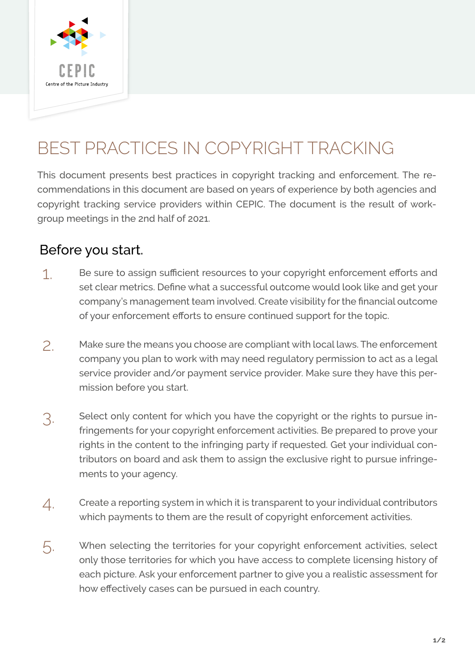

## BEST PRACTICES IN COPYRIGHT TRACKING

This document presents best practices in copyright tracking and enforcement. The recommendations in this document are based on years of experience by both agencies and copyright tracking service providers within CEPIC. The document is the result of workgroup meetings in the 2nd half of 2021.

## Before you start.

- Be sure to assign sufficient resources to your copyright enforcement efforts and set clear metrics. Define what a successful outcome would look like and get your company's management team involved. Create visibility for the financial outcome of your enforcement efforts to ensure continued support for the topic. 1.
- Make sure the means you choose are compliant with local laws. The enforcement company you plan to work with may need regulatory permission to act as a legal service provider and/or payment service provider. Make sure they have this permission before you start. 2.
- Select only content for which you have the copyright or the rights to pursue infringements for your copyright enforcement activities. Be prepared to prove your rights in the content to the infringing party if requested. Get your individual contributors on board and ask them to assign the exclusive right to pursue infringements to your agency. 3.
- Create a reporting system in which it is transparent to your individual contributors which payments to them are the result of copyright enforcement activities. 4.
- When selecting the territories for your copyright enforcement activities, select only those territories for which you have access to complete licensing history of each picture. Ask your enforcement partner to give you a realistic assessment for how effectively cases can be pursued in each country. 5.